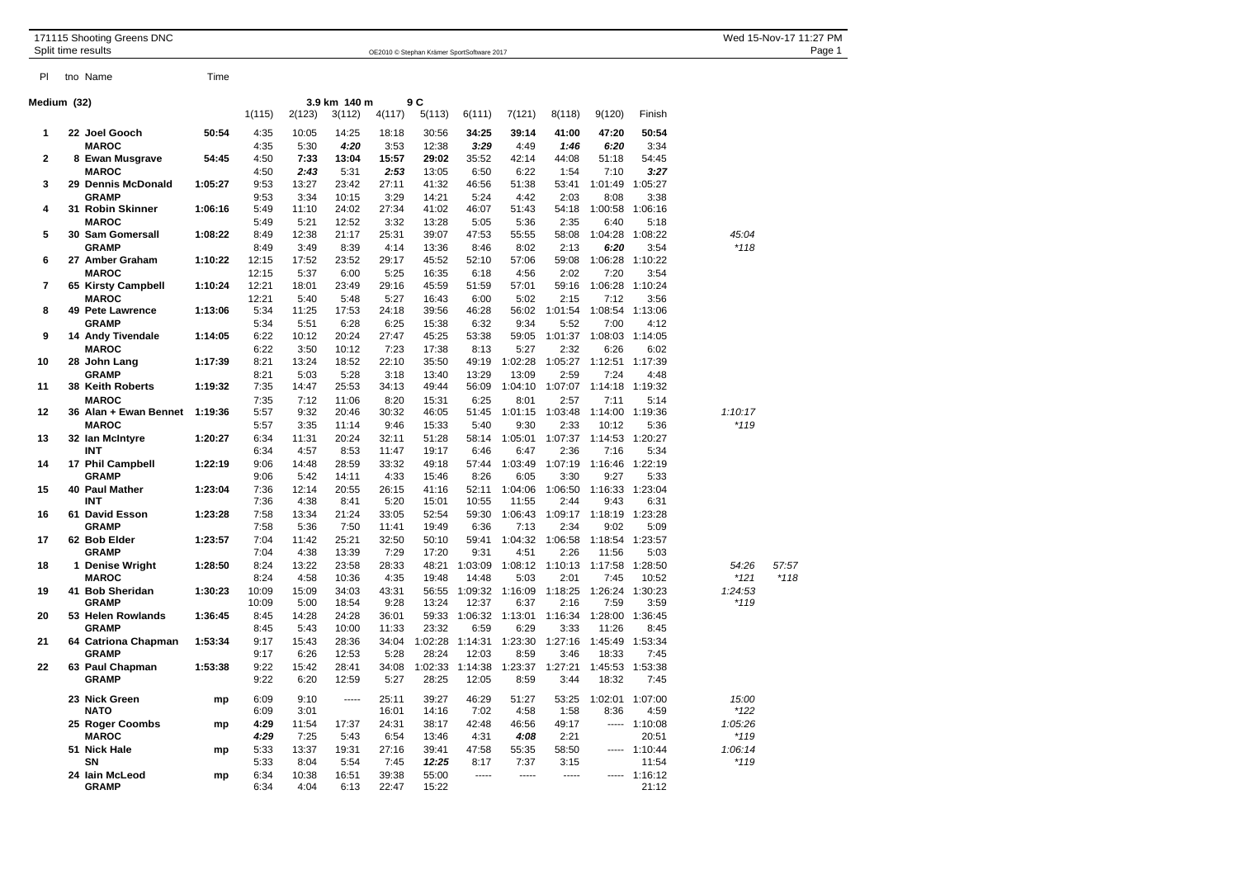| 171115 Shooting Greens DNC<br>Split time results |  |                                   | OE2010 © Stephan Krämer SportSoftware 2017 |                |               |                |               |                |                  |                 |                 |                 |                 | Wed 15-Nov-17 11:27 PM<br>Page 1 |        |  |  |
|--------------------------------------------------|--|-----------------------------------|--------------------------------------------|----------------|---------------|----------------|---------------|----------------|------------------|-----------------|-----------------|-----------------|-----------------|----------------------------------|--------|--|--|
| PI                                               |  | tno Name                          | Time                                       |                |               |                |               |                |                  |                 |                 |                 |                 |                                  |        |  |  |
| Medium (32)                                      |  |                                   |                                            |                |               | 3.9 km 140 m   |               | 9 C            |                  |                 |                 |                 |                 |                                  |        |  |  |
|                                                  |  |                                   |                                            | 1(115)         | 2(123)        | 3(112)         | 4(117)        | 5(113)         | 6(111)           | 7(121)          | 8(118)          | 9(120)          | Finish          |                                  |        |  |  |
| 1                                                |  | 22 Joel Gooch                     | 50:54                                      | 4:35           | 10:05         | 14:25          | 18:18         | 30:56          | 34:25            | 39:14           | 41:00           | 47:20           | 50:54           |                                  |        |  |  |
|                                                  |  | <b>MAROC</b>                      |                                            | 4:35           | 5:30          | 4:20           | 3:53          | 12:38          | 3:29             | 4:49            | 1:46            | 6:20            | 3:34            |                                  |        |  |  |
| $\mathbf{2}$                                     |  | 8 Ewan Musgrave                   | 54:45                                      | 4:50           | 7:33          | 13:04          | 15:57         | 29:02          | 35:52            | 42:14           | 44:08           | 51:18           | 54:45           |                                  |        |  |  |
|                                                  |  | <b>MAROC</b>                      |                                            | 4:50           | 2:43          | 5:31           | 2:53          | 13:05          | 6:50             | 6:22            | 1:54            | 7:10            | 3:27            |                                  |        |  |  |
| 3                                                |  | 29 Dennis McDonald                | 1:05:27                                    | 9:53           | 13:27         | 23:42          | 27:11         | 41:32          | 46:56            | 51:38           | 53:41           | 1:01:49         | 1:05:27         |                                  |        |  |  |
| 4                                                |  | <b>GRAMP</b><br>31 Robin Skinner  | 1:06:16                                    | 9:53<br>5:49   | 3:34<br>11:10 | 10:15<br>24:02 | 3:29<br>27:34 | 14:21<br>41:02 | 5:24<br>46:07    | 4:42<br>51:43   | 2:03<br>54:18   | 8:08<br>1:00:58 | 3:38<br>1:06:16 |                                  |        |  |  |
|                                                  |  | <b>MAROC</b>                      |                                            | 5:49           | 5:21          | 12:52          | 3:32          | 13:28          | 5:05             | 5:36            | 2:35            | 6:40            | 5:18            |                                  |        |  |  |
| 5                                                |  | 30 Sam Gomersall                  | 1:08:22                                    | 8:49           | 12:38         | 21:17          | 25:31         | 39:07          | 47:53            | 55:55           | 58:08           | 1:04:28         | 1:08:22         | 45:04                            |        |  |  |
|                                                  |  | <b>GRAMP</b>                      |                                            | 8:49           | 3:49          | 8:39           | 4:14          | 13:36          | 8:46             | 8:02            | 2:13            | 6:20            | 3:54            | $*118$                           |        |  |  |
| 6                                                |  | 27 Amber Graham                   | 1:10:22                                    | 12:15          | 17:52         | 23:52          | 29:17         | 45:52          | 52:10            | 57:06           | 59:08           | 1:06:28         | 1:10:22         |                                  |        |  |  |
|                                                  |  | <b>MAROC</b>                      |                                            | 12:15          | 5:37          | 6:00           | 5:25          | 16:35          | 6:18             | 4:56            | 2:02            | 7:20            | 3:54            |                                  |        |  |  |
| $\overline{7}$                                   |  | 65 Kirsty Campbell                | 1:10:24                                    | 12:21          | 18:01         | 23:49          | 29:16         | 45:59          | 51:59            | 57:01           | 59:16           | 1:06:28         | 1:10:24         |                                  |        |  |  |
|                                                  |  | <b>MAROC</b>                      |                                            | 12:21          | 5:40          | 5:48           | 5:27          | 16:43          | 6:00             | 5:02            | 2:15            | 7:12            | 3:56            |                                  |        |  |  |
| 8                                                |  | 49 Pete Lawrence                  | 1:13:06                                    | 5:34           | 11:25         | 17:53          | 24:18         | 39:56          | 46:28            | 56:02           | 1:01:54         | 1:08:54         | 1:13:06         |                                  |        |  |  |
| 9                                                |  | <b>GRAMP</b><br>14 Andy Tivendale | 1:14:05                                    | 5:34<br>6:22   | 5:51<br>10:12 | 6:28<br>20:24  | 6:25<br>27:47 | 15:38<br>45:25 | 6:32<br>53:38    | 9:34<br>59:05   | 5:52<br>1:01:37 | 7:00<br>1:08:03 | 4:12<br>1:14:05 |                                  |        |  |  |
|                                                  |  | <b>MAROC</b>                      |                                            | 6:22           | 3:50          | 10:12          | 7:23          | 17:38          | 8:13             | 5:27            | 2:32            | 6:26            | 6:02            |                                  |        |  |  |
| 10                                               |  | 28 John Lang                      | 1:17:39                                    | 8:21           | 13:24         | 18:52          | 22:10         | 35:50          | 49:19            | 1:02:28         | 1:05:27         | 1:12:51         | 1:17:39         |                                  |        |  |  |
|                                                  |  | <b>GRAMP</b>                      |                                            | 8:21           | 5:03          | 5:28           | 3:18          | 13:40          | 13:29            | 13:09           | 2:59            | 7:24            | 4:48            |                                  |        |  |  |
| 11                                               |  | 38 Keith Roberts                  | 1:19:32                                    | 7:35           | 14:47         | 25:53          | 34:13         | 49:44          | 56:09            | 1:04:10         | 1:07:07         | 1:14:18         | 1:19:32         |                                  |        |  |  |
|                                                  |  | <b>MAROC</b>                      |                                            | 7:35           | 7:12          | 11:06          | 8:20          | 15:31          | 6:25             | 8:01            | 2:57            | 7:11            | 5:14            |                                  |        |  |  |
| 12                                               |  | 36 Alan + Ewan Bennet             | 1:19:36                                    | 5:57           | 9:32          | 20:46          | 30:32         | 46:05          | 51:45            | 1:01:15         | 1:03:48         | 1:14:00         | 1:19:36         | 1:10:17                          |        |  |  |
|                                                  |  | <b>MAROC</b>                      |                                            | 5:57           | 3:35          | 11:14          | 9:46          | 15:33          | 5:40             | 9:30            | 2:33            | 10:12           | 5:36            | $*119$                           |        |  |  |
| 13                                               |  | 32 Ian McIntyre                   | 1:20:27                                    | 6:34           | 11:31         | 20:24          | 32:11         | 51:28          | 58:14            | 1:05:01         | 1:07:37         | 1:14:53         | 1:20:27         |                                  |        |  |  |
|                                                  |  | INT                               |                                            | 6:34           | 4:57          | 8:53           | 11:47         | 19:17          | 6:46             | 6:47            | 2:36            | 7:16            | 5:34            |                                  |        |  |  |
| 14                                               |  | 17 Phil Campbell<br><b>GRAMP</b>  | 1:22:19                                    | 9:06<br>9:06   | 14:48<br>5:42 | 28:59<br>14:11 | 33:32<br>4:33 | 49:18          | 57:44<br>8:26    | 1:03:49<br>6:05 | 1:07:19<br>3:30 | 1:16:46<br>9:27 | 1:22:19<br>5:33 |                                  |        |  |  |
| 15                                               |  | 40 Paul Mather                    | 1:23:04                                    | 7:36           | 12:14         | 20:55          | 26:15         | 15:46<br>41:16 | 52:11            | 1:04:06         | 1:06:50         | 1:16:33         | 1:23:04         |                                  |        |  |  |
|                                                  |  | <b>INT</b>                        |                                            | 7:36           | 4:38          | 8:41           | 5:20          | 15:01          | 10:55            | 11:55           | 2:44            | 9:43            | 6:31            |                                  |        |  |  |
| 16                                               |  | 61 David Esson                    | 1:23:28                                    | 7:58           | 13:34         | 21:24          | 33:05         | 52:54          | 59:30            | 1:06:43         | 1:09:17         | 1:18:19         | 1:23:28         |                                  |        |  |  |
|                                                  |  | <b>GRAMP</b>                      |                                            | 7:58           | 5:36          | 7:50           | 11:41         | 19:49          | 6:36             | 7:13            | 2:34            | 9:02            | 5:09            |                                  |        |  |  |
| 17                                               |  | 62 Bob Elder                      | 1:23:57                                    | 7:04           | 11:42         | 25:21          | 32:50         | 50:10          | 59:41            | 1:04:32         | 1:06:58         | 1:18:54         | 1:23:57         |                                  |        |  |  |
|                                                  |  | <b>GRAMP</b>                      |                                            | 7:04           | 4:38          | 13:39          | 7:29          | 17:20          | 9:31             | 4:51            | 2:26            | 11:56           | 5:03            |                                  |        |  |  |
| 18                                               |  | 1 Denise Wright                   | 1:28:50                                    | 8:24           | 13:22         | 23:58          | 28:33         | 48:21          | 1:03:09          | 1:08:12         | 1:10:13         | 1:17:58         | 1:28:50         | 54:26                            | 57:57  |  |  |
|                                                  |  | <b>MAROC</b>                      |                                            | 8:24           | 4:58          | 10:36          | 4:35          | 19:48          | 14:48            | 5:03            | 2:01            | 7:45            | 10:52           | $*121$                           | $*118$ |  |  |
| 19                                               |  | 41 Bob Sheridan<br><b>GRAMP</b>   | 1:30:23                                    | 10:09<br>10:09 | 15:09<br>5:00 | 34:03<br>18:54 | 43:31<br>9:28 | 56:55<br>13:24 | 1:09:32<br>12:37 | 1:16:09<br>6:37 | 1:18:25<br>2:16 | 1:26:24<br>7:59 | 1:30:23         | 1:24:53<br>*119                  |        |  |  |
| 20                                               |  | 53 Helen Rowlands                 | 1:36:45                                    | 8:45           | 14:28         | 24:28          | 36:01         | 59:33          | 1:06:32          | 1:13:01         | 1:16:34         | 1:28:00         | 3:59<br>1:36:45 |                                  |        |  |  |
|                                                  |  | <b>GRAMP</b>                      |                                            | 8:45           | 5:43          | 10:00          | 11:33         | 23:32          | 6:59             | 6:29            | 3:33            | 11:26           | 8:45            |                                  |        |  |  |
| 21                                               |  | 64 Catriona Chapman               | 1:53:34                                    | 9:17           | 15:43         | 28:36          | 34:04         | 1:02:28        | 1:14:31          | 1:23:30         | 1:27:16         | 1:45:49         | 1:53:34         |                                  |        |  |  |
|                                                  |  | <b>GRAMP</b>                      |                                            | 9:17           | 6:26          | 12:53          | 5:28          | 28:24          | 12:03            | 8:59            | 3:46            | 18:33           | 7:45            |                                  |        |  |  |
| 22                                               |  | 63 Paul Chapman                   | 1:53:38                                    | 9:22           | 15:42         | 28:41          | 34:08         | 1:02:33        | 1:14:38          | 1:23:37         | 1:27:21         | 1:45:53         | 1:53:38         |                                  |        |  |  |
|                                                  |  | <b>GRAMP</b>                      |                                            | 9:22           | 6:20          | 12:59          | 5:27          | 28:25          | 12:05            | 8:59            | 3:44            | 18:32           | 7:45            |                                  |        |  |  |
|                                                  |  | 23 Nick Green                     | mp                                         | 6:09           | 9:10          | 1.1.1.1        | 25:11         | 39:27          | 46:29            | 51:27           | 53:25           | 1:02:01         | 1:07:00         | 15:00                            |        |  |  |
|                                                  |  | <b>NATO</b>                       |                                            | 6:09           | 3:01          |                | 16:01         | 14:16          | 7:02             | 4:58            | 1:58            | 8:36            | 4:59            | $*122$                           |        |  |  |
|                                                  |  | 25 Roger Coombs                   | mp                                         | 4:29           | 11:54         | 17:37          | 24:31         | 38:17          | 42:48            | 46:56           | 49:17           | 1.1111          | 1:10:08         | 1:05:26                          |        |  |  |
|                                                  |  | <b>MAROC</b>                      |                                            | 4:29           | 7:25          | 5:43           | 6:54          | 13:46          | 4:31             | 4:08            | 2:21            |                 | 20:51           | $*119$                           |        |  |  |
|                                                  |  | 51 Nick Hale                      | mp                                         | 5:33           | 13:37         | 19:31          | 27:16         | 39:41          | 47:58            | 55:35           | 58:50           |                 | $--- 1:10:44$   | 1:06:14                          |        |  |  |
|                                                  |  | SN                                |                                            | 5:33           | 8:04          | 5:54           | 7:45          | 12:25          | 8:17             | 7:37            | 3:15            |                 | 11:54           | $*119$                           |        |  |  |
|                                                  |  | 24 Iain McLeod                    | mp                                         | 6:34           | 10:38         | 16:51          | 39:38         | 55:00          | 1.1.1.1          | 1.1.1.1         | -----           | -----           | 1:16:12         |                                  |        |  |  |
|                                                  |  | <b>GRAMP</b>                      |                                            | 6:34           | 4:04          | 6:13           | 22:47         | 15:22          |                  |                 |                 |                 | 21:12           |                                  |        |  |  |